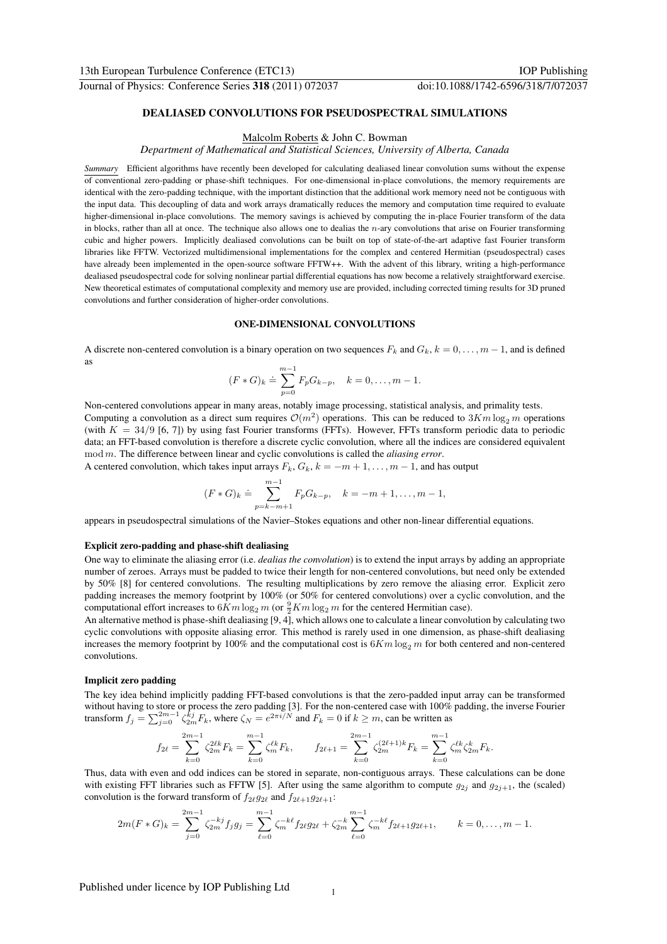# DEALIASED CONVOLUTIONS FOR PSEUDOSPECTRAL SIMULATIONS

## Malcolm Roberts & John C. Bowman

*Department of Mathematical and Statistical Sciences, University of Alberta, Canada*

*Summary* Efficient algorithms have recently been developed for calculating dealiased linear convolution sums without the expense of conventional zero-padding or phase-shift techniques. For one-dimensional in-place convolutions, the memory requirements are identical with the zero-padding technique, with the important distinction that the additional work memory need not be contiguous with the input data. This decoupling of data and work arrays dramatically reduces the memory and computation time required to evaluate higher-dimensional in-place convolutions. The memory savings is achieved by computing the in-place Fourier transform of the data in blocks, rather than all at once. The technique also allows one to dealias the  $n$ -ary convolutions that arise on Fourier transforming cubic and higher powers. Implicitly dealiased convolutions can be built on top of state-of-the-art adaptive fast Fourier transform libraries like FFTW. Vectorized multidimensional implementations for the complex and centered Hermitian (pseudospectral) cases have already been implemented in the open-source software FFTW++. With the advent of this library, writing a high-performance dealiased pseudospectral code for solving nonlinear partial differential equations has now become a relatively straightforward exercise. New theoretical estimates of computational complexity and memory use are provided, including corrected timing results for 3D pruned convolutions and further consideration of higher-order convolutions.

## ONE-DIMENSIONAL CONVOLUTIONS

A discrete non-centered convolution is a binary operation on two sequences  $F_k$  and  $G_k$ ,  $k = 0, \ldots, m-1$ , and is defined as

$$
(F * G)_k \doteq \sum_{p=0}^{m-1} F_p G_{k-p}, \quad k = 0, \dots, m-1.
$$

Non-centered convolutions appear in many areas, notably image processing, statistical analysis, and primality tests. Computing a convolution as a direct sum requires  $\mathcal{O}(m^2)$  operations. This can be reduced to  $3Km \log_2 m$  operations (with  $K = 34/9$  [6, 7]) by using fast Fourier transforms (FFTs). However, FFTs transform periodic data to periodic data; an FFT-based convolution is therefore a discrete cyclic convolution, where all the indices are considered equivalent mod m. The difference between linear and cyclic convolutions is called the *aliasing error*.

A centered convolution, which takes input arrays  $F_k$ ,  $G_k$ ,  $k = -m+1, \ldots, m-1$ , and has output

$$
(F * G)_k \doteq \sum_{p=k-m+1}^{m-1} F_p G_{k-p}, \quad k = -m+1, \dots, m-1,
$$

appears in pseudospectral simulations of the Navier–Stokes equations and other non-linear differential equations.

## Explicit zero-padding and phase-shift dealiasing

One way to eliminate the aliasing error (i.e. *dealias the convolution*) is to extend the input arrays by adding an appropriate number of zeroes. Arrays must be padded to twice their length for non-centered convolutions, but need only be extended by 50% [8] for centered convolutions. The resulting multiplications by zero remove the aliasing error. Explicit zero padding increases the memory footprint by 100% (or 50% for centered convolutions) over a cyclic convolution, and the computational effort increases to  $6Km \log_2 m$  (or  $\frac{9}{2}Km \log_2 m$  for the centered Hermitian case).

An alternative method is phase-shift dealiasing [9, 4], which allows one to calculate a linear convolution by calculating two cyclic convolutions with opposite aliasing error. This method is rarely used in one dimension, as phase-shift dealiasing increases the memory footprint by 100% and the computational cost is  $6Km \log_2 m$  for both centered and non-centered convolutions.

#### Implicit zero padding

The key idea behind implicitly padding FFT-based convolutions is that the zero-padded input array can be transformed without having to store or process the zero padding [3]. For the non-centered case with 100% padding, the inverse Fourier transform  $f_j = \sum_{j=0}^{2m-1} \zeta_{2m}^{kj} F_k$ , where  $\zeta_N = e^{2\pi i/N}$  and  $F_k = 0$  if  $k \ge m$ , can be written as

$$
f_{2\ell} = \sum_{k=0}^{2m-1} \zeta_{2m}^{2\ell k} F_k = \sum_{k=0}^{m-1} \zeta_m^{\ell k} F_k, \qquad f_{2\ell+1} = \sum_{k=0}^{2m-1} \zeta_{2m}^{(2\ell+1)k} F_k = \sum_{k=0}^{m-1} \zeta_m^{\ell k} \zeta_{2m}^k F_k.
$$

Thus, data with even and odd indices can be stored in separate, non-contiguous arrays. These calculations can be done with existing FFT libraries such as FFTW [5]. After using the same algorithm to compute  $g_{2i}$  and  $g_{2i+1}$ , the (scaled) convolution is the forward transform of  $f_{2\ell}g_{2\ell}$  and  $f_{2\ell+1}g_{2\ell+1}$ :

$$
2m(F*G)_k = \sum_{j=0}^{2m-1} \zeta_{2m}^{-kj} f_j g_j = \sum_{\ell=0}^{m-1} \zeta_{m}^{-k\ell} f_{2\ell} g_{2\ell} + \zeta_{2m}^{-k} \sum_{\ell=0}^{m-1} \zeta_{m}^{-k\ell} f_{2\ell+1} g_{2\ell+1}, \qquad k=0,\ldots,m-1.
$$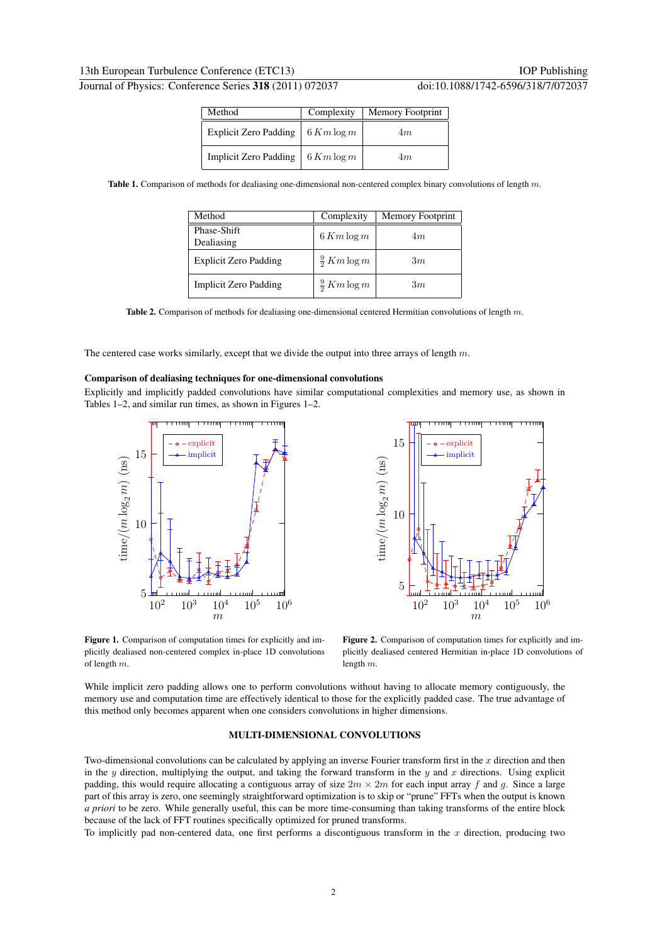| Method                | Complexity     | Memory Footprint |
|-----------------------|----------------|------------------|
| Explicit Zero Padding | $6 K m \log m$ | 4m               |
| Implicit Zero Padding | $6 K m \log m$ | 4m               |

Table 1. Comparison of methods for dealiasing one-dimensional non-centered complex binary convolutions of length  $m$ .

| Method                       | Complexity              | <b>Memory Footprint</b> |
|------------------------------|-------------------------|-------------------------|
| Phase-Shift<br>Dealiasing    | $6 K m \log m$          | 4m                      |
| Explicit Zero Padding        | $\frac{9}{2}$ Km log m  | 3m                      |
| <b>Implicit Zero Padding</b> | $\frac{9}{2}$ K m log m | 3m                      |

Table 2. Comparison of methods for dealiasing one-dimensional centered Hermitian convolutions of length  $m$ .

The centered case works similarly, except that we divide the output into three arrays of length  $m$ .

## Comparison of dealiasing techniques for one-dimensional convolutions

Explicitly and implicitly padded convolutions have similar computational complexities and memory use, as shown in Tables 1–2, and similar run times, as shown in Figures 1–2.



5 10 15 time/(  $\frac{m \log_2 m}{m}$  (ns)  $10^2$   $10^3$   $10^4$   $10^5$   $10^6$ m explicit implicit

mmm

Figure 1. Comparison of computation times for explicitly and implicitly dealiased non-centered complex in-place 1D convolutions of length m.

Figure 2. Comparison of computation times for explicitly and implicitly dealiased centered Hermitian in-place 1D convolutions of length m.

While implicit zero padding allows one to perform convolutions without having to allocate memory contiguously, the memory use and computation time are effectively identical to those for the explicitly padded case. The true advantage of this method only becomes apparent when one considers convolutions in higher dimensions.

#### MULTI-DIMENSIONAL CONVOLUTIONS

Two-dimensional convolutions can be calculated by applying an inverse Fourier transform first in the  $x$  direction and then in the y direction, multiplying the output, and taking the forward transform in the  $y$  and  $x$  directions. Using explicit padding, this would require allocating a contiguous array of size  $2m \times 2m$  for each input array f and q. Since a large part of this array is zero, one seemingly straightforward optimization is to skip or "prune" FFTs when the output is known *a priori* to be zero. While generally useful, this can be more time-consuming than taking transforms of the entire block because of the lack of FFT routines specifically optimized for pruned transforms.

To implicitly pad non-centered data, one first performs a discontiguous transform in the  $x$  direction, producing two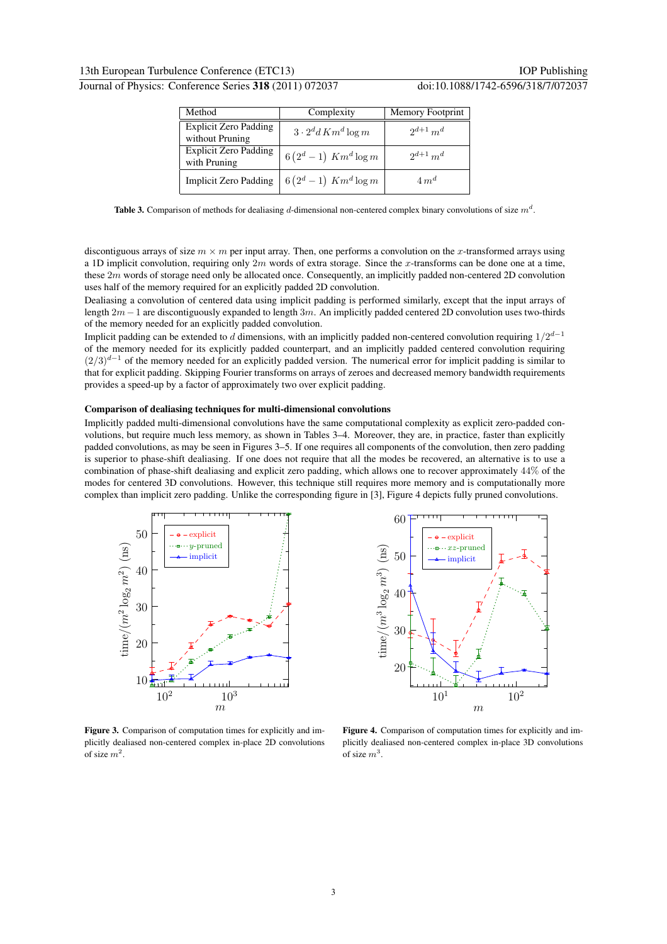|  | Journal of Physics: Conference Series 318 (2011) 072037 |  |
|--|---------------------------------------------------------|--|
|--|---------------------------------------------------------|--|

| Method                                          | Complexity                    | Memory Footprint |
|-------------------------------------------------|-------------------------------|------------------|
| <b>Explicit Zero Padding</b><br>without Pruning | $3 \cdot 2^d d$ K $m^d$ log m | $2^{d+1} m^d$    |
| Explicit Zero Padding<br>with Pruning           | $6(2^d-1)$ $Km^d \log m$      | $2^{d+1} m^d$    |
| <b>Implicit Zero Padding</b>                    | $6(2^d-1)$ $Km^d \log m$      | $4m^d$           |

**Table 3.** Comparison of methods for dealiasing d-dimensional non-centered complex binary convolutions of size  $m<sup>d</sup>$ .

discontiguous arrays of size  $m \times m$  per input array. Then, one performs a convolution on the x-transformed arrays using a 1D implicit convolution, requiring only  $2m$  words of extra storage. Since the x-transforms can be done one at a time, these 2m words of storage need only be allocated once. Consequently, an implicitly padded non-centered 2D convolution uses half of the memory required for an explicitly padded 2D convolution.

Dealiasing a convolution of centered data using implicit padding is performed similarly, except that the input arrays of length  $2m-1$  are discontiguously expanded to length  $3m$ . An implicitly padded centered 2D convolution uses two-thirds of the memory needed for an explicitly padded convolution.

Implicit padding can be extended to d dimensions, with an implicitly padded non-centered convolution requiring  $1/2^{d-1}$ of the memory needed for its explicitly padded counterpart, and an implicitly padded centered convolution requiring  $(2/3)^{d-1}$  of the memory needed for an explicitly padded version. The numerical error for implicit padding is similar to that for explicit padding. Skipping Fourier transforms on arrays of zeroes and decreased memory bandwidth requirements provides a speed-up by a factor of approximately two over explicit padding.

# Comparison of dealiasing techniques for multi-dimensional convolutions

Implicitly padded multi-dimensional convolutions have the same computational complexity as explicit zero-padded convolutions, but require much less memory, as shown in Tables 3–4. Moreover, they are, in practice, faster than explicitly padded convolutions, as may be seen in Figures 3–5. If one requires all components of the convolution, then zero padding is superior to phase-shift dealiasing. If one does not require that all the modes be recovered, an alternative is to use a combination of phase-shift dealiasing and explicit zero padding, which allows one to recover approximately 44% of the modes for centered 3D convolutions. However, this technique still requires more memory and is computationally more complex than implicit zero padding. Unlike the corresponding figure in [3], Figure 4 depicts fully pruned convolutions.



Figure 3. Comparison of computation times for explicitly and implicitly dealiased non-centered complex in-place 2D convolutions of size  $m^2$ .



Figure 4. Comparison of computation times for explicitly and implicitly dealiased non-centered complex in-place 3D convolutions of size  $m^3$ .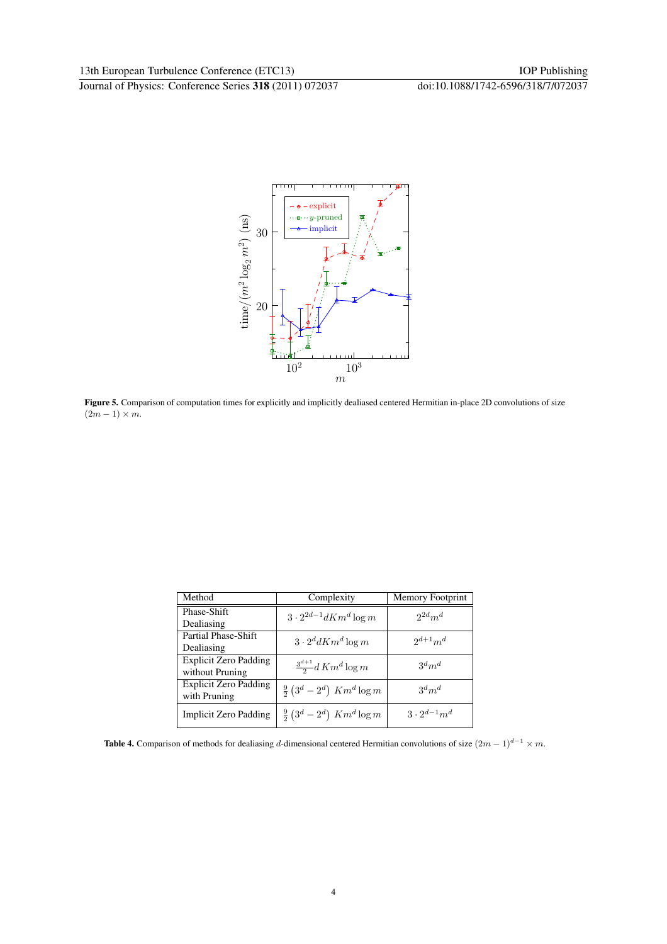

Figure 5. Comparison of computation times for explicitly and implicitly dealiased centered Hermitian in-place 2D convolutions of size  $(2m-1)\times m$ .

| Method                       | Complexity                                        | <b>Memory Footprint</b> |
|------------------------------|---------------------------------------------------|-------------------------|
| Phase-Shift                  | $3 \cdot 2^{2d-1} dK m^d \log m$                  | $2^{2d}m^d$             |
| Dealiasing                   |                                                   |                         |
| Partial Phase-Shift          | $3 \cdot 2^d dK m^d \log m$                       | $2^{d+1}m^d$            |
| Dealiasing                   |                                                   |                         |
| Explicit Zero Padding        | $\frac{3^{d+1}}{2}$ d K $m^d \log m$              | $3^d m^d$               |
| without Pruning              |                                                   |                         |
| <b>Explicit Zero Padding</b> | $\frac{9}{2}$ $(3^d - 2^d)$ Km <sup>d</sup> log m | $3^d m^d$               |
| with Pruning                 |                                                   |                         |
| Implicit Zero Padding        | $\frac{9}{2}$ $(3^d - 2^d)$ Km <sup>d</sup> log m | $3 \cdot 2^{d-1} m^d$   |

Table 4. Comparison of methods for dealiasing d-dimensional centered Hermitian convolutions of size  $(2m - 1)^{d-1} \times m$ .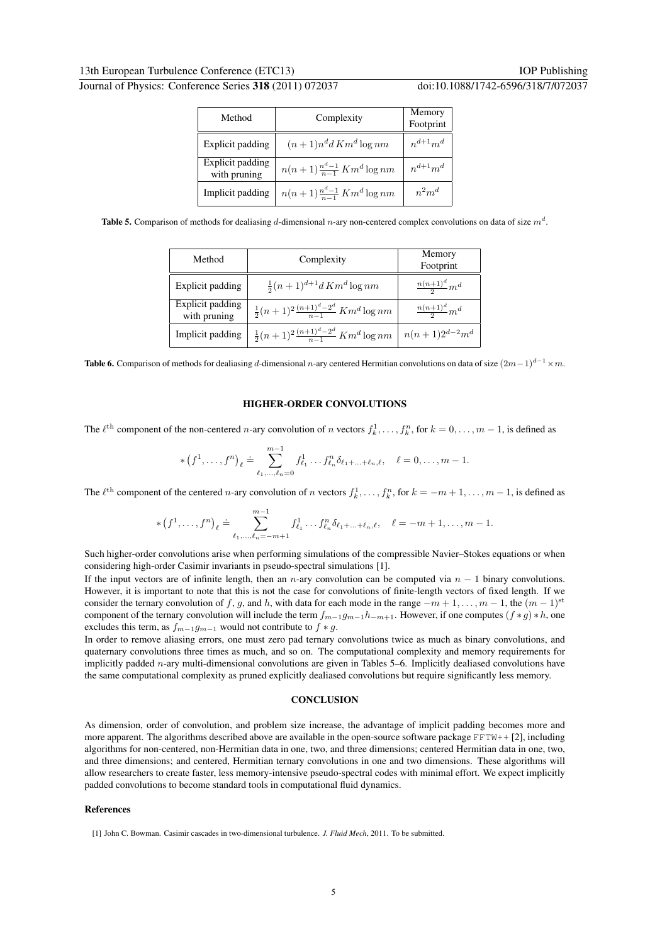| Method                           | Complexity                           | Memory<br>Footprint |
|----------------------------------|--------------------------------------|---------------------|
| Explicit padding                 | $(n+1)n^d d$ Km <sup>d</sup> log nm  | $n^{d+1}m^d$        |
| Explicit padding<br>with pruning | $n(n+1)\frac{n^d-1}{n-1}Km^d\log nm$ | $n^{d+1}m^d$        |
| Implicit padding                 | $n(n+1)\frac{n^d-1}{n-1}Km^d\log nm$ | $n^2m^d$            |

**Table 5.** Comparison of methods for dealiasing d-dimensional n-ary non-centered complex convolutions on data of size  $m<sup>d</sup>$ .

| Method                           | Complexity                                             | Memory<br>Footprint     |
|----------------------------------|--------------------------------------------------------|-------------------------|
| Explicit padding                 | $\frac{1}{2}(n+1)^{d+1}dKm^d\log nm$                   | $\frac{n(n+1)^d}{2}m^d$ |
| Explicit padding<br>with pruning | $\frac{1}{2}(n+1)^2\frac{(n+1)^d-2^d}{n-1}Km^d\log nm$ | $\frac{n(n+1)^d}{2}m^d$ |
| Implicit padding                 | $\frac{1}{2}(n+1)^2\frac{(n+1)^d-2^d}{n-1}Km^d\log nm$ | $n(n+1)2^{d-2}m^d$      |

Table 6. Comparison of methods for dealiasing d-dimensional n-ary centered Hermitian convolutions on data of size  $(2m-1)^{d-1}$  ×m.

# HIGHER-ORDER CONVOLUTIONS

The  $\ell^{\text{th}}$  component of the non-centered n-ary convolution of n vectors  $f_k^1, \ldots, f_k^n$ , for  $k = 0, \ldots, m-1$ , is defined as

$$
\ast (f^{1}, \ldots, f^{n})_{\ell} \doteq \sum_{\ell_{1}, \ldots, \ell_{n} = 0}^{m-1} f^{1}_{\ell_{1}} \ldots f^{n}_{\ell_{n}} \delta_{\ell_{1} + \ldots + \ell_{n}, \ell}, \quad \ell = 0, \ldots, m-1.
$$

The  $\ell^{\text{th}}$  component of the centered n-ary convolution of n vectors  $f_k^1, \ldots, f_k^n$ , for  $k = -m+1, \ldots, m-1$ , is defined as

$$
\ast (f^{1}, \ldots, f^{n})_{\ell} \doteq \sum_{\ell_{1}, \ldots, \ell_{n} = -m+1}^{m-1} f_{\ell_{1}}^{1} \ldots f_{\ell_{n}}^{n} \delta_{\ell_{1} + \ldots + \ell_{n}, \ell}, \quad \ell = -m+1, \ldots, m-1.
$$

Such higher-order convolutions arise when performing simulations of the compressible Navier–Stokes equations or when considering high-order Casimir invariants in pseudo-spectral simulations [1].

If the input vectors are of infinite length, then an n-ary convolution can be computed via  $n - 1$  binary convolutions. However, it is important to note that this is not the case for convolutions of finite-length vectors of fixed length. If we consider the ternary convolution of f, g, and h, with data for each mode in the range  $-m+1, \ldots, m-1$ , the  $(m-1)^{st}$ component of the ternary convolution will include the term  $f_{m-1}g_{m-1}h_{-m+1}$ . However, if one computes  $(f * g) * h$ , one excludes this term, as  $f_{m-1}g_{m-1}$  would not contribute to  $f * g$ .

In order to remove aliasing errors, one must zero pad ternary convolutions twice as much as binary convolutions, and quaternary convolutions three times as much, and so on. The computational complexity and memory requirements for implicitly padded *n*-ary multi-dimensional convolutions are given in Tables 5–6. Implicitly dealiased convolutions have the same computational complexity as pruned explicitly dealiased convolutions but require significantly less memory.

#### **CONCLUSION**

As dimension, order of convolution, and problem size increase, the advantage of implicit padding becomes more and more apparent. The algorithms described above are available in the open-source software package FFTW++ [2], including algorithms for non-centered, non-Hermitian data in one, two, and three dimensions; centered Hermitian data in one, two, and three dimensions; and centered, Hermitian ternary convolutions in one and two dimensions. These algorithms will allow researchers to create faster, less memory-intensive pseudo-spectral codes with minimal effort. We expect implicitly padded convolutions to become standard tools in computational fluid dynamics.

## References

<sup>[1]</sup> John C. Bowman. Casimir cascades in two-dimensional turbulence. *J. Fluid Mech*, 2011. To be submitted.